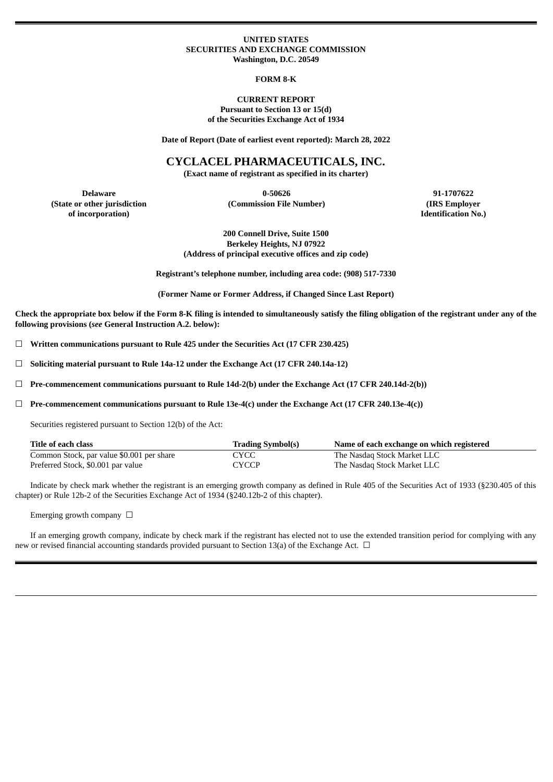### **UNITED STATES SECURITIES AND EXCHANGE COMMISSION Washington, D.C. 20549**

#### **FORM 8-K**

### **CURRENT REPORT Pursuant to Section 13 or 15(d) of the Securities Exchange Act of 1934**

**Date of Report (Date of earliest event reported): March 28, 2022**

# **CYCLACEL PHARMACEUTICALS, INC.**

**(Exact name of registrant as specified in its charter)**

**(State or other jurisdiction of incorporation)**

**Delaware 0-50626 91-1707622 (Commission File Number) (IRS Employer**

**Identification No.)**

**200 Connell Drive, Suite 1500 Berkeley Heights, NJ 07922 (Address of principal executive offices and zip code)**

**Registrant's telephone number, including area code: (908) 517-7330**

**(Former Name or Former Address, if Changed Since Last Report)**

Check the appropriate box below if the Form 8-K filing is intended to simultaneously satisfy the filing obligation of the registrant under any of the **following provisions (***see* **General Instruction A.2. below):**

☐ **Written communications pursuant to Rule 425 under the Securities Act (17 CFR 230.425)**

☐ **Soliciting material pursuant to Rule 14a-12 under the Exchange Act (17 CFR 240.14a-12)**

☐ **Pre-commencement communications pursuant to Rule 14d-2(b) under the Exchange Act (17 CFR 240.14d-2(b))**

☐ **Pre-commencement communications pursuant to Rule 13e-4(c) under the Exchange Act (17 CFR 240.13e-4(c))**

Securities registered pursuant to Section 12(b) of the Act:

| Title of each class                       | <b>Trading Symbol(s)</b> | Name of each exchange on which registered |
|-------------------------------------------|--------------------------|-------------------------------------------|
| Common Stock, par value \$0.001 per share | CYCC                     | The Nasdag Stock Market LLC               |
| Preferred Stock, \$0.001 par value        | CYCCP.                   | The Nasdag Stock Market LLC               |

Indicate by check mark whether the registrant is an emerging growth company as defined in Rule 405 of the Securities Act of 1933 (§230.405 of this chapter) or Rule 12b-2 of the Securities Exchange Act of 1934 (§240.12b-2 of this chapter).

Emerging growth company  $\Box$ 

If an emerging growth company, indicate by check mark if the registrant has elected not to use the extended transition period for complying with any new or revised financial accounting standards provided pursuant to Section 13(a) of the Exchange Act.  $\Box$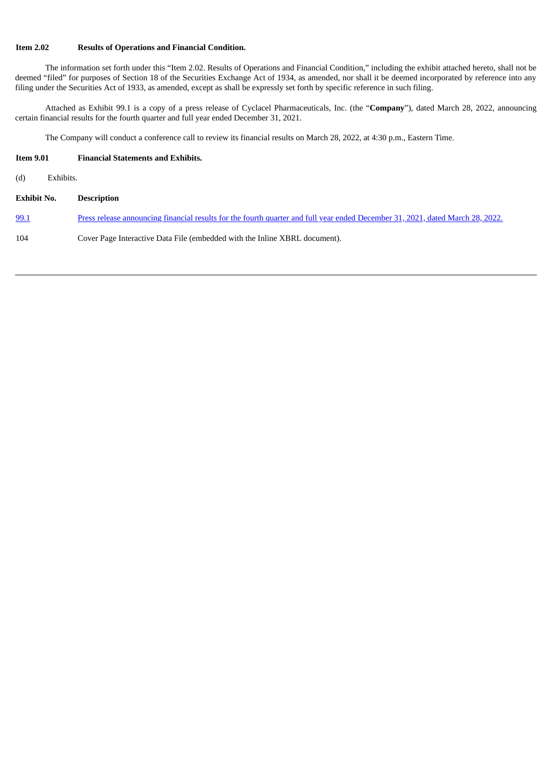# **Item 2.02 Results of Operations and Financial Condition.**

The information set forth under this "Item 2.02. Results of Operations and Financial Condition," including the exhibit attached hereto, shall not be deemed "filed" for purposes of Section 18 of the Securities Exchange Act of 1934, as amended, nor shall it be deemed incorporated by reference into any filing under the Securities Act of 1933, as amended, except as shall be expressly set forth by specific reference in such filing.

Attached as Exhibit 99.1 is a copy of a press release of Cyclacel Pharmaceuticals, Inc. (the "**Company**"), dated March 28, 2022, announcing certain financial results for the fourth quarter and full year ended December 31, 2021.

The Company will conduct a conference call to review its financial results on March 28, 2022, at 4:30 p.m., Eastern Time.

| <b>Item 9.01</b>   |           | <b>Financial Statements and Exhibits.</b>                                                                                      |
|--------------------|-----------|--------------------------------------------------------------------------------------------------------------------------------|
| (d)                | Exhibits. |                                                                                                                                |
| <b>Exhibit No.</b> |           | <b>Description</b>                                                                                                             |
| 99.1               |           | Press release announcing financial results for the fourth quarter and full year ended December 31, 2021, dated March 28, 2022. |
| 104                |           | Cover Page Interactive Data File (embedded with the Inline XBRL document).                                                     |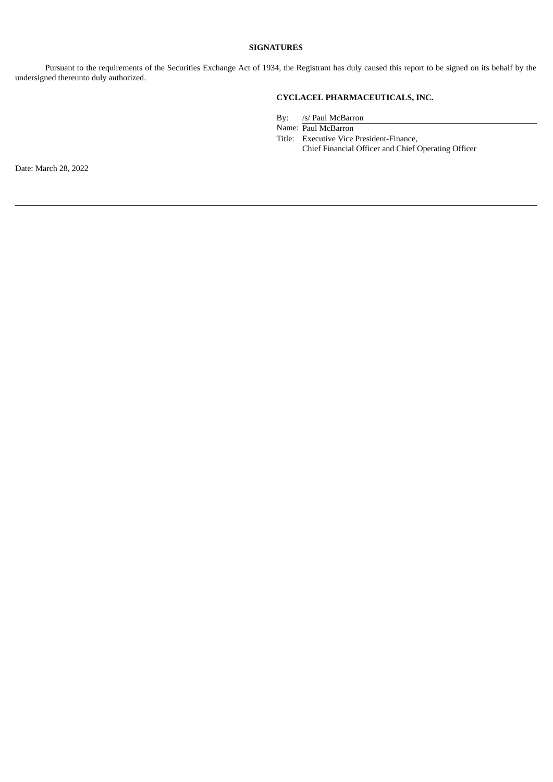# **SIGNATURES**

Pursuant to the requirements of the Securities Exchange Act of 1934, the Registrant has duly caused this report to be signed on its behalf by the undersigned thereunto duly authorized.

# **CYCLACEL PHARMACEUTICALS, INC.**

By: /s/ Paul McBarron

Name: Paul McBarron

Title: Executive Vice President-Finance, Chief Financial Officer and Chief Operating Officer

Date: March 28, 2022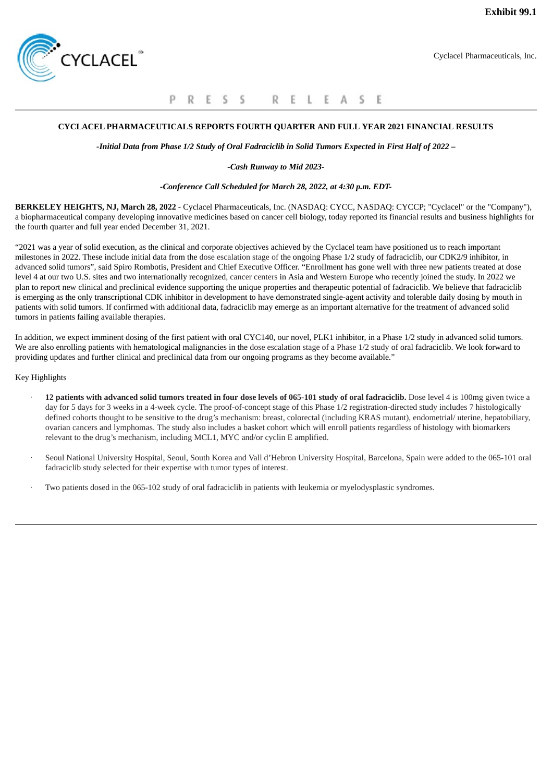<span id="page-3-0"></span>

#### p R ESS R E L E A S E

# **CYCLACEL PHARMACEUTICALS REPORTS FOURTH QUARTER AND FULL YEAR 2021 FINANCIAL RESULTS**

-Initial Data from Phase 1/2 Study of Oral Fadraciclib in Solid Tumors Expected in First Half of 2022 -

#### *-Cash Runway to Mid 2023-*

#### *-Conference Call Scheduled for March 28, 2022, at 4:30 p.m. EDT-*

**BERKELEY HEIGHTS, NJ, March 28, 2022** - Cyclacel Pharmaceuticals, Inc. (NASDAQ: CYCC, NASDAQ: CYCCP; "Cyclacel" or the "Company"), a biopharmaceutical company developing innovative medicines based on cancer cell biology, today reported its financial results and business highlights for the fourth quarter and full year ended December 31, 2021.

"2021 was a year of solid execution, as the clinical and corporate objectives achieved by the Cyclacel team have positioned us to reach important milestones in 2022. These include initial data from the dose escalation stage of the ongoing Phase 1/2 study of fadraciclib, our CDK2/9 inhibitor, in advanced solid tumors", said Spiro Rombotis, President and Chief Executive Officer. "Enrollment has gone well with three new patients treated at dose level 4 at our two U.S. sites and two internationally recognized, cancer centers in Asia and Western Europe who recently joined the study. In 2022 we plan to report new clinical and preclinical evidence supporting the unique properties and therapeutic potential of fadraciclib. We believe that fadraciclib is emerging as the only transcriptional CDK inhibitor in development to have demonstrated single-agent activity and tolerable daily dosing by mouth in patients with solid tumors. If confirmed with additional data, fadraciclib may emerge as an important alternative for the treatment of advanced solid tumors in patients failing available therapies.

In addition, we expect imminent dosing of the first patient with oral CYC140, our novel, PLK1 inhibitor, in a Phase 1/2 study in advanced solid tumors. We are also enrolling patients with hematological malignancies in the dose escalation stage of a Phase 1/2 study of oral fadraciclib. We look forward to providing updates and further clinical and preclinical data from our ongoing programs as they become available."

Key Highlights

- 12 patients with advanced solid tumors treated in four dose levels of 065-101 study of oral fadraciclib. Dose level 4 is 100mg given twice a day for 5 days for 3 weeks in a 4-week cycle. The proof-of-concept stage of this Phase 1/2 registration-directed study includes 7 histologically defined cohorts thought to be sensitive to the drug's mechanism: breast, colorectal (including KRAS mutant), endometrial/ uterine, hepatobiliary, ovarian cancers and lymphomas. The study also includes a basket cohort which will enroll patients regardless of histology with biomarkers relevant to the drug's mechanism, including MCL1, MYC and/or cyclin E amplified.
- · Seoul National University Hospital, Seoul, South Korea and Vall d'Hebron University Hospital, Barcelona, Spain were added to the 065-101 oral fadraciclib study selected for their expertise with tumor types of interest.
- · Two patients dosed in the 065-102 study of oral fadraciclib in patients with leukemia or myelodysplastic syndromes.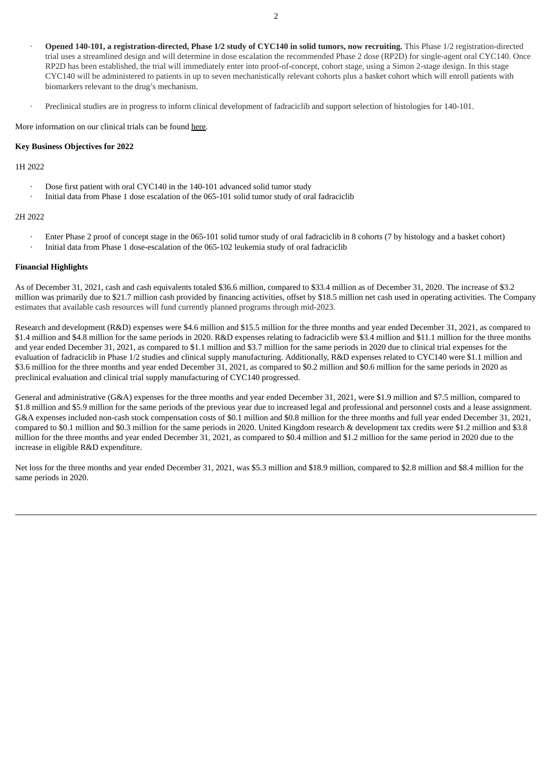- Opened 140-101, a registration-directed, Phase 1/2 study of CYC140 in solid tumors, now recruiting. This Phase 1/2 registration-directed trial uses a streamlined design and will determine in dose escalation the recommended Phase 2 dose (RP2D) for single-agent oral CYC140. Once RP2D has been established, the trial will immediately enter into proof-of-concept, cohort stage, using a Simon 2-stage design. In this stage CYC140 will be administered to patients in up to seven mechanistically relevant cohorts plus a basket cohort which will enroll patients with biomarkers relevant to the drug's mechanism.
- · Preclinical studies are in progress to inform clinical development of fadraciclib and support selection of histologies for 140-101.

More information on our clinical trials can be found here.

#### **Key Business Objectives for 2022**

1H 2022

- Dose first patient with oral CYC140 in the 140-101 advanced solid tumor study
- · Initial data from Phase 1 dose escalation of the 065-101 solid tumor study of oral fadraciclib

#### 2H 2022

- · Enter Phase 2 proof of concept stage in the 065-101 solid tumor study of oral fadraciclib in 8 cohorts (7 by histology and a basket cohort)
- Initial data from Phase 1 dose-escalation of the 065-102 leukemia study of oral fadraciclib

#### **Financial Highlights**

As of December 31, 2021, cash and cash equivalents totaled \$36.6 million, compared to \$33.4 million as of December 31, 2020. The increase of \$3.2 million was primarily due to \$21.7 million cash provided by financing activities, offset by \$18.5 million net cash used in operating activities. The Company estimates that available cash resources will fund currently planned programs through mid-2023.

Research and development (R&D) expenses were \$4.6 million and \$15.5 million for the three months and year ended December 31, 2021, as compared to \$1.4 million and \$4.8 million for the same periods in 2020. R&D expenses relating to fadraciclib were \$3.4 million and \$11.1 million for the three months and year ended December 31, 2021, as compared to \$1.1 million and \$3.7 million for the same periods in 2020 due to clinical trial expenses for the evaluation of fadraciclib in Phase 1/2 studies and clinical supply manufacturing. Additionally, R&D expenses related to CYC140 were \$1.1 million and \$3.6 million for the three months and year ended December 31, 2021, as compared to \$0.2 million and \$0.6 million for the same periods in 2020 as preclinical evaluation and clinical trial supply manufacturing of CYC140 progressed.

General and administrative (G&A) expenses for the three months and year ended December 31, 2021, were \$1.9 million and \$7.5 million, compared to \$1.8 million and \$5.9 million for the same periods of the previous year due to increased legal and professional and personnel costs and a lease assignment. G&A expenses included non-cash stock compensation costs of \$0.1 million and \$0.8 million for the three months and full year ended December 31, 2021, compared to \$0.1 million and \$0.3 million for the same periods in 2020. United Kingdom research & development tax credits were \$1.2 million and \$3.8 million for the three months and year ended December 31, 2021, as compared to \$0.4 million and \$1.2 million for the same period in 2020 due to the increase in eligible R&D expenditure.

Net loss for the three months and year ended December 31, 2021, was \$5.3 million and \$18.9 million, compared to \$2.8 million and \$8.4 million for the same periods in 2020.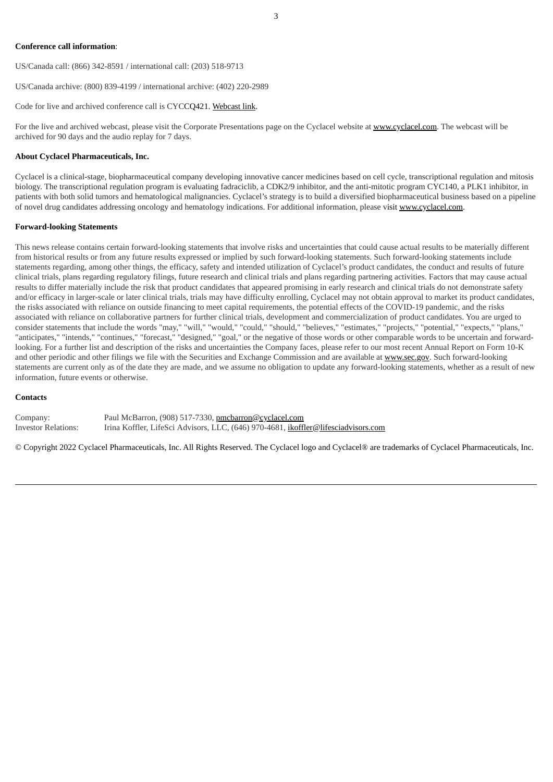# **Conference call information**:

US/Canada call: (866) 342-8591 / international call: (203) 518-9713

US/Canada archive: (800) 839-4199 / international archive: (402) 220-2989

Code for live and archived conference call is CYCCQ421. Webcast link.

For the live and archived webcast, please visit the Corporate Presentations page on the Cyclacel website at www.cyclacel.com. The webcast will be archived for 90 days and the audio replay for 7 days.

# **About Cyclacel Pharmaceuticals, Inc.**

Cyclacel is a clinical-stage, biopharmaceutical company developing innovative cancer medicines based on cell cycle, transcriptional regulation and mitosis biology. The transcriptional regulation program is evaluating fadraciclib, a CDK2/9 inhibitor, and the anti-mitotic program CYC140, a PLK1 inhibitor, in patients with both solid tumors and hematological malignancies. Cyclacel's strategy is to build a diversified biopharmaceutical business based on a pipeline of novel drug candidates addressing oncology and hematology indications. For additional information, please visit www.cyclacel.com.

### **Forward-looking Statements**

This news release contains certain forward-looking statements that involve risks and uncertainties that could cause actual results to be materially different from historical results or from any future results expressed or implied by such forward-looking statements. Such forward-looking statements include statements regarding, among other things, the efficacy, safety and intended utilization of Cyclacel's product candidates, the conduct and results of future clinical trials, plans regarding regulatory filings, future research and clinical trials and plans regarding partnering activities. Factors that may cause actual results to differ materially include the risk that product candidates that appeared promising in early research and clinical trials do not demonstrate safety and/or efficacy in larger-scale or later clinical trials, trials may have difficulty enrolling, Cyclacel may not obtain approval to market its product candidates, the risks associated with reliance on outside financing to meet capital requirements, the potential effects of the COVID-19 pandemic, and the risks associated with reliance on collaborative partners for further clinical trials, development and commercialization of product candidates. You are urged to consider statements that include the words "may," "will," "would," "could," "should," "believes," "estimates," "projects," "potential," "expects," "plans," "anticipates," "intends," "continues," "forecast," "designed," "goal," or the negative of those words or other comparable words to be uncertain and forwardlooking. For a further list and description of the risks and uncertainties the Company faces, please refer to our most recent Annual Report on Form 10-K and other periodic and other filings we file with the Securities and Exchange Commission and are available at www.sec.gov. Such forward-looking statements are current only as of the date they are made, and we assume no obligation to update any forward-looking statements, whether as a result of new information, future events or otherwise.

#### **Contacts**

| Company:            | Paul McBarron, (908) 517-7330, pmcbarron@cyclacel.com                              |
|---------------------|------------------------------------------------------------------------------------|
| Investor Relations: | Irina Koffler, LifeSci Advisors, LLC, (646) 970-4681, ikoffler@lifesciadvisors.com |

© Copyright 2022 Cyclacel Pharmaceuticals, Inc. All Rights Reserved. The Cyclacel logo and Cyclacel® are trademarks of Cyclacel Pharmaceuticals, Inc.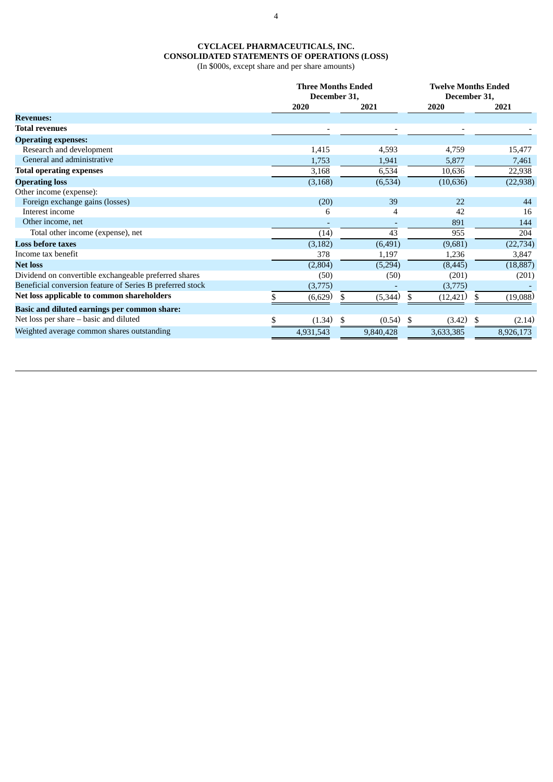### **CYCLACEL PHARMACEUTICALS, INC. CONSOLIDATED STATEMENTS OF OPERATIONS (LOSS)** (In \$000s, except share and per share amounts)

|                                                           | <b>Three Months Ended</b><br>December 31, |    | <b>Twelve Months Ended</b><br>December 31, |                 |    |           |
|-----------------------------------------------------------|-------------------------------------------|----|--------------------------------------------|-----------------|----|-----------|
|                                                           | 2020                                      |    | 2021                                       | 2020            |    | 2021      |
| <b>Revenues:</b>                                          |                                           |    |                                            |                 |    |           |
| <b>Total revenues</b>                                     |                                           |    |                                            |                 |    |           |
| <b>Operating expenses:</b>                                |                                           |    |                                            |                 |    |           |
| Research and development                                  | 1,415                                     |    | 4,593                                      | 4,759           |    | 15,477    |
| General and administrative                                | 1,753                                     |    | 1,941                                      | 5,877           |    | 7,461     |
| <b>Total operating expenses</b>                           | 3,168                                     |    | 6,534                                      | 10,636          |    | 22,938    |
| <b>Operating loss</b>                                     | (3, 168)                                  |    | (6,534)                                    | (10, 636)       |    | (22, 938) |
| Other income (expense):                                   |                                           |    |                                            |                 |    |           |
| Foreign exchange gains (losses)                           | (20)                                      |    | 39                                         | 22              |    | 44        |
| Interest income                                           | 6                                         |    | 4                                          | 42              |    | 16        |
| Other income, net                                         |                                           |    |                                            | 891             |    | 144       |
| Total other income (expense), net                         | (14)                                      |    | 43                                         | 955             |    | 204       |
| <b>Loss before taxes</b>                                  | (3, 182)                                  |    | (6, 491)                                   | (9,681)         |    | (22, 734) |
| Income tax benefit                                        | 378                                       |    | 1,197                                      | 1,236           |    | 3,847     |
| <b>Net loss</b>                                           | (2,804)                                   |    | (5,294)                                    | (8, 445)        |    | (18, 887) |
| Dividend on convertible exchangeable preferred shares     | (50)                                      |    | (50)                                       | (201)           |    | (201)     |
| Beneficial conversion feature of Series B preferred stock | (3,775)                                   |    |                                            | (3,775)         |    |           |
| Net loss applicable to common shareholders                | (6,629)                                   | \$ | (5,344)                                    | \$<br>(12, 421) | \$ | (19,088)  |
| Basic and diluted earnings per common share:              |                                           |    |                                            |                 |    |           |
| Net loss per share - basic and diluted                    | (1.34)                                    | -S | (0.54)                                     | (3.42)          |    | (2.14)    |
| Weighted average common shares outstanding                | 4,931,543                                 |    | 9,840,428                                  | 3,633,385       |    | 8,926,173 |